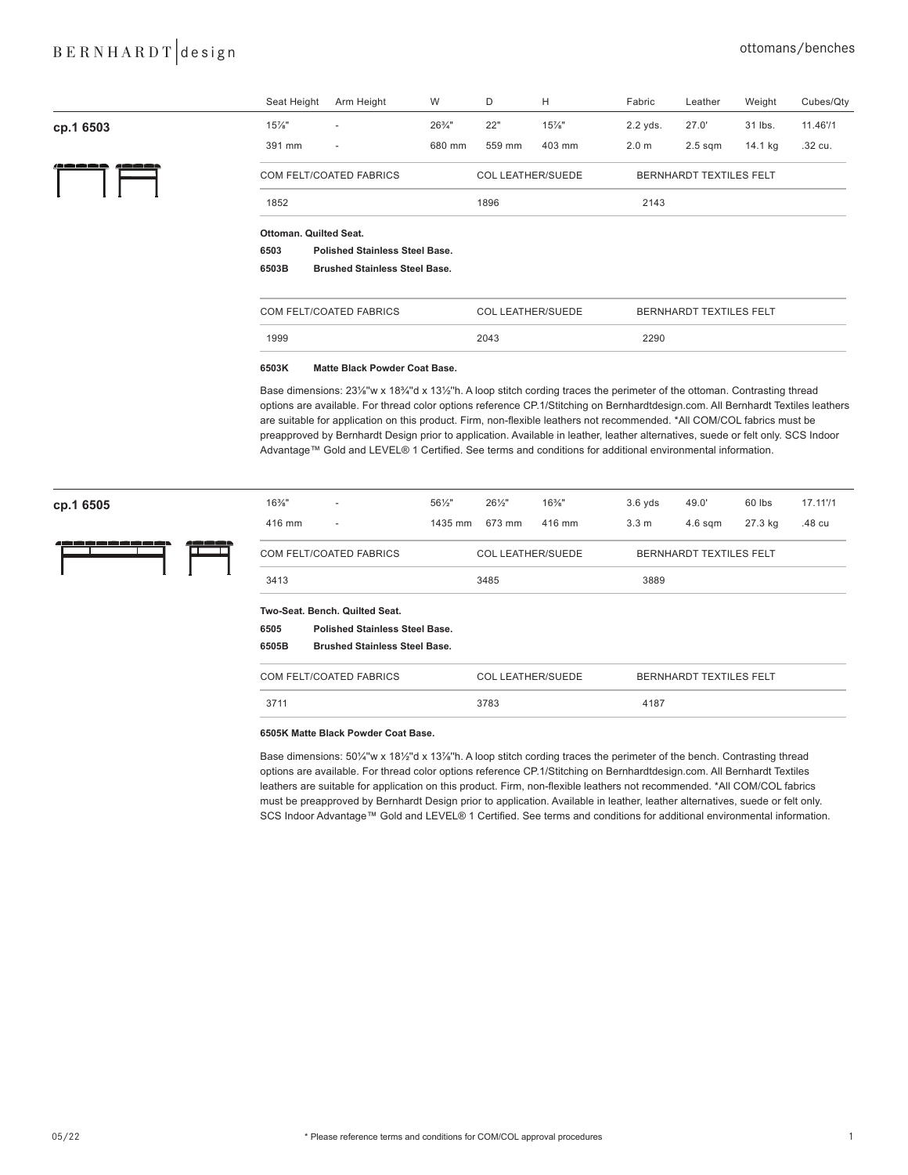## BERNHARDT design cttomans/benches

|                          | Seat Height                                   | Arm Height                                                                                    | W                 | D                        | H        | Fabric                  | Leather                 | Weight  | Cubes/Qty |  |
|--------------------------|-----------------------------------------------|-----------------------------------------------------------------------------------------------|-------------------|--------------------------|----------|-------------------------|-------------------------|---------|-----------|--|
| cp.1 6503                | $15\%$ "                                      |                                                                                               | $26\frac{3}{4}$ " | 22"                      | $15\%$ " | 2.2 yds.                | 27.0'                   | 31 lbs. | 11.46'/1  |  |
|                          | 391 mm                                        | $\sim$                                                                                        | 680 mm            | 559 mm                   | 403 mm   | 2.0 <sub>m</sub>        | $2.5$ sqm               | 14.1 kg | .32 cu.   |  |
| <u>/2000 2000 2000 2</u> | COM FELT/COATED FABRICS                       |                                                                                               |                   | <b>COL LEATHER/SUEDE</b> |          |                         | BERNHARDT TEXTILES FELT |         |           |  |
|                          | 1852                                          |                                                                                               |                   | 1896                     |          | 2143                    |                         |         |           |  |
|                          | Ottoman, Quilted Seat.                        |                                                                                               |                   |                          |          |                         |                         |         |           |  |
|                          | <b>Polished Stainless Steel Base.</b><br>6503 |                                                                                               |                   |                          |          |                         |                         |         |           |  |
|                          | <b>Brushed Stainless Steel Base.</b><br>6503B |                                                                                               |                   |                          |          |                         |                         |         |           |  |
|                          | COM FELT/COATED FABRICS                       |                                                                                               |                   | <b>COL LEATHER/SUEDE</b> |          | BERNHARDT TEXTILES FELT |                         |         |           |  |
|                          | 1999                                          |                                                                                               |                   | 2043                     |          | 2290                    |                         |         |           |  |
|                          | 0.0001                                        | $M - M - R$ is the set of the set of $\mathbb{R}$ and $\mathbb{R}$ is the set of $\mathbb{R}$ |                   |                          |          |                         |                         |         |           |  |

#### **6503K Matte Black Powder Coat Base.**

Base dimensions: 23¼"w x 18¼"d x 13½"h. A loop stitch cording traces the perimeter of the ottoman. Contrasting thread options are available. For thread color options reference CP.1/Stitching on Bernhardtdesign.com. All Bernhardt Textiles leathers are suitable for application on this product. Firm, non-flexible leathers not recommended. \*All COM/COL fabrics must be preapproved by Bernhardt Design prior to application. Available in leather, leather alternatives, suede or felt only. SCS Indoor Advantage™ Gold and LEVEL® 1 Certified. See terms and conditions for additional environmental information.

| cp.1 6505                 | $16\%$ "                | $\overline{\phantom{a}}$              | 561/2"                   | 261/2"                   | $16\%$ "                       | $3.6$ yds        | 49.0'                   | 60 lbs  | 17.11'/1 |  |
|---------------------------|-------------------------|---------------------------------------|--------------------------|--------------------------|--------------------------------|------------------|-------------------------|---------|----------|--|
|                           | 416 mm                  | $\overline{\phantom{a}}$              | 1435 mm                  | 673 mm                   | 416 mm                         | 3.3 <sub>m</sub> | $4.6$ sqm               | 27.3 kg | .48 cu   |  |
| د ک ک ک ک ک ک<br>وصرص صرم | COM FELT/COATED FABRICS |                                       |                          | <b>COL LEATHER/SUEDE</b> |                                |                  | BERNHARDT TEXTILES FELT |         |          |  |
|                           | 3413                    |                                       |                          |                          | 3485                           |                  | 3889                    |         |          |  |
|                           |                         | Two-Seat, Bench, Quilted Seat.        |                          |                          |                                |                  |                         |         |          |  |
|                           | 6505                    | <b>Polished Stainless Steel Base.</b> |                          |                          |                                |                  |                         |         |          |  |
|                           | 6505B                   | <b>Brushed Stainless Steel Base.</b>  |                          |                          |                                |                  |                         |         |          |  |
|                           | COM FELT/COATED FABRICS |                                       | <b>COL LEATHER/SUEDE</b> |                          | <b>BERNHARDT TEXTILES FELT</b> |                  |                         |         |          |  |
|                           | 3711                    |                                       |                          | 3783                     |                                | 4187             |                         |         |          |  |

### **6505K Matte Black Powder Coat Base.**

Base dimensions: 50¼"w x 18½"d x 13%"h. A loop stitch cording traces the perimeter of the bench. Contrasting thread options are available. For thread color options reference CP.1/Stitching on Bernhardtdesign.com. All Bernhardt Textiles leathers are suitable for application on this product. Firm, non-flexible leathers not recommended. \*All COM/COL fabrics must be preapproved by Bernhardt Design prior to application. Available in leather, leather alternatives, suede or felt only. SCS Indoor Advantage™ Gold and LEVEL® 1 Certified. See terms and conditions for additional environmental information.